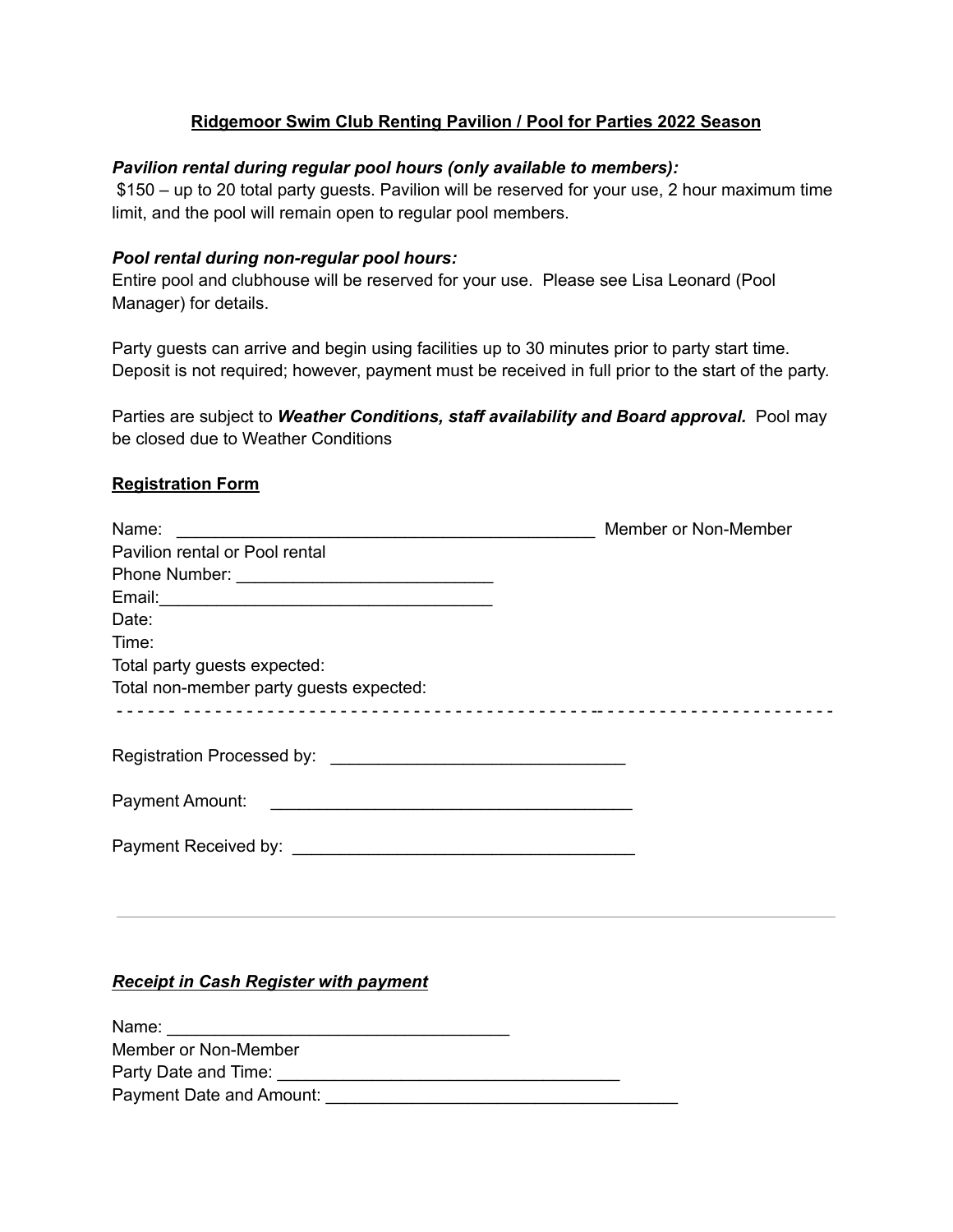# **Ridgemoor Swim Club Renting Pavilion / Pool for Parties 2022 Season**

### *Pavilion rental during regular pool hours (only available to members):*

\$150 – up to 20 total party guests. Pavilion will be reserved for your use, 2 hour maximum time limit, and the pool will remain open to regular pool members.

### *Pool rental during non-regular pool hours:*

Entire pool and clubhouse will be reserved for your use. Please see Lisa Leonard (Pool Manager) for details.

Party guests can arrive and begin using facilities up to 30 minutes prior to party start time. Deposit is not required; however, payment must be received in full prior to the start of the party.

Parties are subject to *Weather Conditions, staff availability and Board approval.* Pool may be closed due to Weather Conditions

# **Registration Form**

| Name:<br><u> 2000 - Johann Stone, martin de la componenta</u>                                                                           | Member or Non-Member |
|-----------------------------------------------------------------------------------------------------------------------------------------|----------------------|
| Pavilion rental or Pool rental                                                                                                          |                      |
|                                                                                                                                         |                      |
|                                                                                                                                         |                      |
| Date:                                                                                                                                   |                      |
| Time:                                                                                                                                   |                      |
| Total party guests expected:                                                                                                            |                      |
| Total non-member party guests expected:                                                                                                 |                      |
|                                                                                                                                         |                      |
|                                                                                                                                         |                      |
|                                                                                                                                         |                      |
| Payment Amount:<br><u> Alexandria de la contrada de la contrada de la contrada de la contrada de la contrada de la contrada de la c</u> |                      |
|                                                                                                                                         |                      |
|                                                                                                                                         |                      |
|                                                                                                                                         |                      |

# *Receipt in Cash Register with payment*

| Name:                    |  |  |
|--------------------------|--|--|
| Member or Non-Member     |  |  |
| Party Date and Time:     |  |  |
| Payment Date and Amount: |  |  |
|                          |  |  |